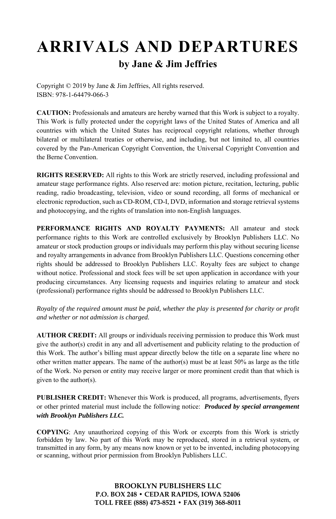# **ARRIVALS AND DEPARTURES by Jane & Jim Jeffries**

Copyright © 2019 by Jane & Jim Jeffries, All rights reserved. ISBN: 978-1-64479-066-3

**CAUTION:** Professionals and amateurs are hereby warned that this Work is subject to a royalty. This Work is fully protected under the copyright laws of the United States of America and all countries with which the United States has reciprocal copyright relations, whether through bilateral or multilateral treaties or otherwise, and including, but not limited to, all countries covered by the Pan-American Copyright Convention, the Universal Copyright Convention and the Berne Convention.

**RIGHTS RESERVED:** All rights to this Work are strictly reserved, including professional and amateur stage performance rights. Also reserved are: motion picture, recitation, lecturing, public reading, radio broadcasting, television, video or sound recording, all forms of mechanical or electronic reproduction, such as CD-ROM, CD-I, DVD, information and storage retrieval systems and photocopying, and the rights of translation into non-English languages.

**PERFORMANCE RIGHTS AND ROYALTY PAYMENTS:** All amateur and stock performance rights to this Work are controlled exclusively by Brooklyn Publishers LLC. No amateur or stock production groups or individuals may perform this play without securing license and royalty arrangements in advance from Brooklyn Publishers LLC. Questions concerning other rights should be addressed to Brooklyn Publishers LLC. Royalty fees are subject to change without notice. Professional and stock fees will be set upon application in accordance with your producing circumstances. Any licensing requests and inquiries relating to amateur and stock (professional) performance rights should be addressed to Brooklyn Publishers LLC.

*Royalty of the required amount must be paid, whether the play is presented for charity or profit and whether or not admission is charged.* 

**AUTHOR CREDIT:** All groups or individuals receiving permission to produce this Work must give the author(s) credit in any and all advertisement and publicity relating to the production of this Work. The author's billing must appear directly below the title on a separate line where no other written matter appears. The name of the author(s) must be at least 50% as large as the title of the Work. No person or entity may receive larger or more prominent credit than that which is given to the author(s).

**PUBLISHER CREDIT:** Whenever this Work is produced, all programs, advertisements, flyers or other printed material must include the following notice: *Produced by special arrangement with Brooklyn Publishers LLC.*

**COPYING**: Any unauthorized copying of this Work or excerpts from this Work is strictly forbidden by law. No part of this Work may be reproduced, stored in a retrieval system, or transmitted in any form, by any means now known or yet to be invented, including photocopying or scanning, without prior permission from Brooklyn Publishers LLC.

> **BROOKLYN PUBLISHERS LLC P.O. BOX 248 • CEDAR RAPIDS, IOWA 52406 TOLL FREE (888) 473-8521 • FAX (319) 368-8011**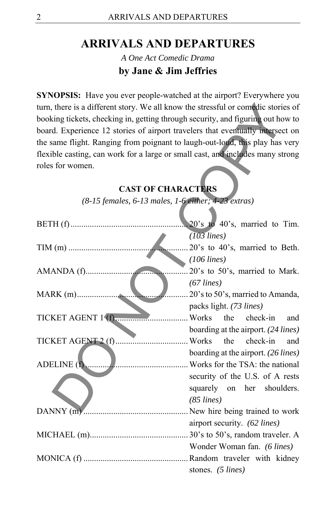# **ARRIVALS AND DEPARTURES**

*A One Act Comedic Drama*  **by Jane & Jim Jeffries** 

**SYNOPSIS:** Have you ever people-watched at the airport? Everywhere you turn, there is a different story. We all know the stressful or comedic stories of booking tickets, checking in, getting through security, and figuring out how to board. Experience 12 stories of airport travelers that eventually intersect on the same flight. Ranging from poignant to laugh-out-loud, this play has very flexible casting, can work for a large or small cast, and includes many strong roles for women.

| turn, there is a different story. We all know the stressful or comedic stories of |                                     |  |
|-----------------------------------------------------------------------------------|-------------------------------------|--|
| booking tickets, checking in, getting through security, and figuring out how to   |                                     |  |
| board. Experience 12 stories of airport travelers that eventually intersect on    |                                     |  |
| the same flight. Ranging from poignant to laugh-out-loud, this play has very      |                                     |  |
| flexible casting, can work for a large or small cast, and includes many strong    |                                     |  |
| roles for women.                                                                  |                                     |  |
|                                                                                   |                                     |  |
| <b>CAST OF CHARACTERS</b>                                                         |                                     |  |
| $(8-15$ females, $6-13$ males, $1-6$ either; $4-23$ extras)                       |                                     |  |
|                                                                                   |                                     |  |
|                                                                                   | 20's to 40's, married to Tim.       |  |
|                                                                                   | $(103$ lines)                       |  |
|                                                                                   | 20's to 40's, married to Beth.      |  |
|                                                                                   | $(106$ lines)                       |  |
|                                                                                   | 20's to 50's, married to Mark.      |  |
|                                                                                   | $(67$ lines)                        |  |
|                                                                                   | 20's to 50's, married to Amanda,    |  |
|                                                                                   | packs light. (73 lines)             |  |
| TICKET AGENT 1(f)                                                                 | the<br>Works<br>check-in<br>and     |  |
|                                                                                   | boarding at the airport. (24 lines) |  |
|                                                                                   | check-in<br>the<br>and              |  |
|                                                                                   | boarding at the airport. (26 lines) |  |
| ADELINE (f)                                                                       | Works for the TSA: the national     |  |
|                                                                                   | security of the U.S. of A rests     |  |
|                                                                                   | squarely on her shoulders.          |  |
|                                                                                   | $(85$ lines)                        |  |
|                                                                                   |                                     |  |
|                                                                                   | airport security. (62 lines)        |  |
|                                                                                   |                                     |  |
|                                                                                   | Wonder Woman fan. (6 lines)         |  |
|                                                                                   |                                     |  |
|                                                                                   | stones. (5 lines)                   |  |

### **CAST OF CHARACTERS**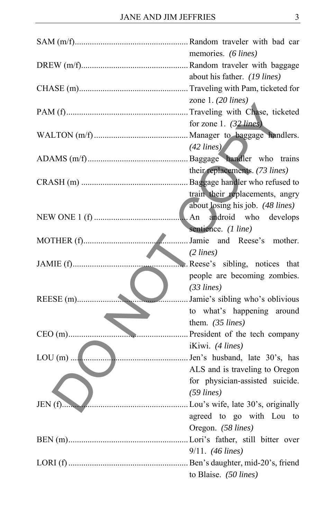|              | memories. (6 lines)                 |
|--------------|-------------------------------------|
|              |                                     |
|              | about his father. (19 lines)        |
|              |                                     |
|              | zone 1. $(20$ lines)                |
|              |                                     |
|              | for zone 1. $(32$ lines)            |
|              |                                     |
|              | $(42$ lines)                        |
|              |                                     |
|              | their replacements. (73 lines)      |
|              |                                     |
|              | train their replacements, angry     |
|              | about losing his job. (48 lines)    |
|              | android who develops<br>. An        |
|              | sentience. (1 line)                 |
|              | Jamie and Reese's mother.           |
|              | (2 lines)                           |
|              | Reese's sibling, notices that       |
|              | people are becoming zombies.        |
|              | (33 lines)                          |
| .            | Jamie's sibling who's oblivious     |
|              | to what's happening around          |
|              | them. (35 lines)                    |
| $CEO(m)$     | President of the tech company       |
|              | iKiwi. (4 lines)                    |
|              | Jen's husband, late 30's, has       |
|              | ALS and is traveling to Oregon      |
|              |                                     |
|              | for physician-assisted suicide.     |
|              | $(59$ lines)                        |
| JEN(f).<br>. | . Lou's wife, late 30's, originally |
|              | agreed to go with Lou to            |
|              | Oregon. (58 lines)                  |
|              |                                     |
|              | $9/11.$ (46 lines)                  |
|              |                                     |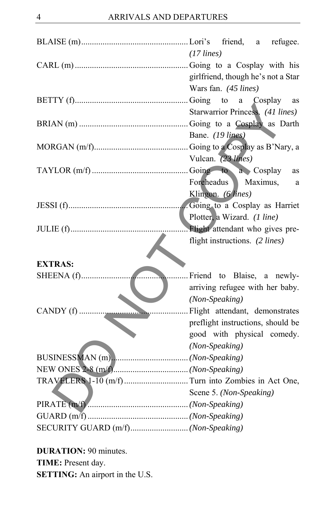|                                     | $(17$ lines)                       |
|-------------------------------------|------------------------------------|
|                                     |                                    |
|                                     | girlfriend, though he's not a Star |
|                                     | Wars fan. (45 lines)               |
|                                     |                                    |
|                                     | Starwarrior Princess. (41 lines)   |
|                                     |                                    |
|                                     | Bane. (19 lines)                   |
|                                     |                                    |
|                                     | Vulcan. (23 lines)                 |
|                                     | <b>as</b>                          |
|                                     | Foreheadus<br>Maximus,<br>a        |
|                                     | Klingon. (6 lines)                 |
|                                     |                                    |
|                                     | Plotter, a Wizard. (1 line)        |
| .                                   | . Flight attendant who gives pre-  |
|                                     | flight instructions. (2 lines)     |
|                                     |                                    |
| <b>EXTRAS:</b>                      |                                    |
| SHEENA (f)                          | Friend to Blaise, a newly-         |
|                                     | arriving refugee with her baby.    |
|                                     | (Non-Speaking)                     |
|                                     |                                    |
|                                     | preflight instructions, should be  |
|                                     | good with physical comedy.         |
|                                     | (Non-Speaking)                     |
|                                     |                                    |
|                                     |                                    |
|                                     |                                    |
|                                     | Scene 5. (Non-Speaking)            |
|                                     |                                    |
|                                     |                                    |
| SECURITY GUARD (m/f) (Non-Speaking) |                                    |
|                                     |                                    |

**DURATION:** 90 minutes. **TIME:** Present day. **SETTING:** An airport in the U.S.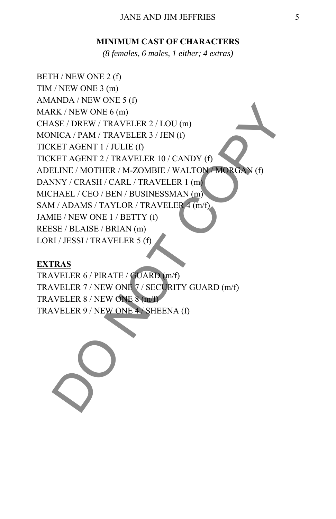### **MINIMUM CAST OF CHARACTERS**

*(8 females, 6 males, 1 either; 4 extras)* 

BETH / NEW ONE 2 (f) TIM / NEW ONE 3 (m) AMANDA / NEW ONE 5 (f) MARK / NEW ONE 6 (m) CHASE / DREW / TRAVELER 2 / LOU (m) MONICA / PAM / TRAVELER 3 / JEN (f) TICKET AGENT 1 / JULIE (f) TICKET AGENT 2 / TRAVELER 10 / CANDY (f) ADELINE / MOTHER / M-ZOMBIE / WALTON / MORGAN (f) DANNY / CRASH / CARL / TRAVELER 1 (m) MICHAEL / CEO / BEN / BUSINESSMAN (m) SAM / ADAMS / TAYLOR / TRAVELER 4 (m/f) JAMIE / NEW ONE 1 / BETTY (f) REESE / BLAISE / BRIAN (m) LORI / JESSI / TRAVELER 5 (f) NE / NEW ONE 6 (m)<br>
NECA / PAM / TRAVELER 3 / JEN (f)<br>
NECA / PAM / TRAVELER 3 / JEN (f)<br>
NECA / PAM / TRAVELER 1 / JOUIE (f)<br>
ELINE / MOTHER / M-ZOMBIE / WALTON MORGAN (f)<br>
NEV / CRASH / CARL / TRAVELER 1 (m)<br>
HAEL / CEO

### **EXTRAS**

TRAVELER 6 / PIRATE / GUARD (m/f) TRAVELER 7 / NEW ONE 7 / SECURITY GUARD (m/f) TRAVELER 8 / NEW ONE 8 (m/f) TRAVELER 9 / NEW ONE 4 / SHEENA (f)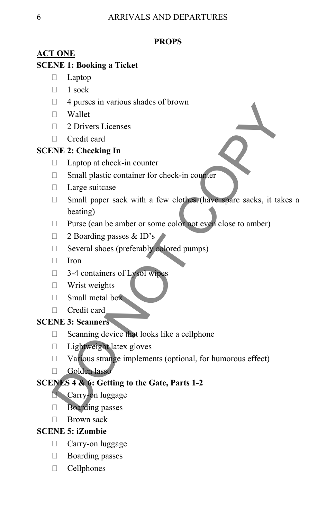### **PROPS**

# **ACT ONE**

### **SCENE 1: Booking a Ticket**

- $\Box$  Laptop
- $\Box$  1 sock
- $\Box$  4 purses in various shades of brown
- $\Box$  Wallet
- □ 2 Drivers Licenses
- □ Credit card

# **SCENE 2: Checking In**

- $\Box$  Laptop at check-in counter
- □ Small plastic container for check-in counter
- Large suitcase
- □ Small paper sack with a few clothes (have spare sacks, it takes a beating) D Wallet<br>
The Wallet<br>
ID Mallet<br>
D Hotters Licenses<br>
D Credit card<br>
D Laptop at check-in counter<br>
D Experimental plastic container for check-in counter<br>
D Experimental plastic container for check-in counter<br>
D Experiment
- $\Box$  Purse (can be amber or some color not even close to amber)
- □ 2 Boarding passes & ID's
- □ Several shoes (preferably colored pumps)
- $\Box$  Iron
- $\Box$  3-4 containers of Lysol wipes
- **Wrist weights**
- $\Box$  Small metal box
- Credit card

# **SCENE 3: Scanners**

- $\Box$  Scanning device that looks like a cellphone
- $\Box$  Lightweight latex gloves
- $\Box$  Various strange implements (optional, for humorous effect)
- Golden lasso

# **SCENES 4 & 6: Getting to the Gate, Parts 1-2**

- **Carry-on luggage**
- **Boarding passes**
- $\Box$  Brown sack

# **SCENE 5: iZombie**

- Carry-on luggage
- Boarding passes
- $\Box$  Cellphones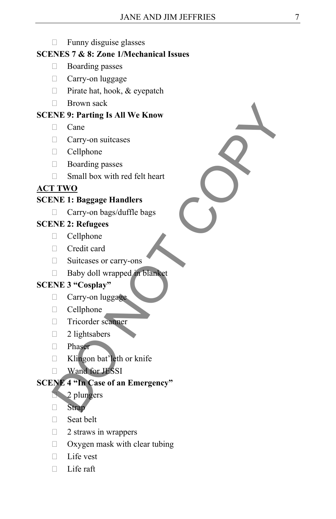### $\Box$  Funny disguise glasses

### **SCENES 7 & 8: Zone 1/Mechanical Issues**

- □ Boarding passes
- **Carry-on luggage**
- $\Box$  Pirate hat, hook, & eyepatch
- **Brown sack**

### **SCENE 9: Parting Is All We Know**

- □ Cane
- Carry-on suitcases
- Cellphone
- Boarding passes
- $\Box$  Small box with red felt heart

### **ACT TWO**

### **SCENE 1: Baggage Handlers**

□ Carry-on bags/duffle bags

### **SCENE 2: Refugees**

- $\Box$  Cellphone
- Credit card
- □ Suitcases or carry-ons
- Baby doll wrapped in blanket

### **SCENE 3 "Cosplay"**

- $\Box$  Carry-on luggage
- Cellphone
- Tricorder scanner
- $\Box$  2 lightsabers
- Phaser
- $\Box$  Klingon bat'leth or knife
- **Wand for JESSI**

# **SCENE 4 "In Case of an Emergency"**  ⇒ Brown sack<br>
C Carry-on suitcases<br>
C Carry-on suitcases<br>
<br>
C Carry-on suitcases<br>
<br>
C Carry-on bags/duffle bags<br>
<br>
T TIVO<br>
<br>
C Carry-on bags/duffle bags<br>
NE 2: Refugees<br>
<br>
C Cellphone<br>
C Cedit card<br>
<br>
C Cordit card<br>
<br>
C

### 2 plungers

Strap

- □ Seat belt
- $\Box$  2 straws in wrappers
- $\Box$  Oxygen mask with clear tubing
- □ Life vest
- $\Box$  Life raft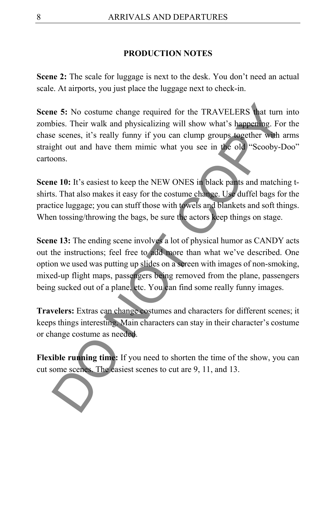### **PRODUCTION NOTES**

**Scene 2:** The scale for luggage is next to the desk. You don't need an actual scale. At airports, you just place the luggage next to check-in.

**Scene 5:** No costume change required for the TRAVELERS that turn into zombies. Their walk and physicalizing will show what's happening. For the chase scenes, it's really funny if you can clump groups together with arms straight out and have them mimic what you see in the old "Scooby-Doo" cartoons. the 5: No costume change required for the TRAVELERS that turn<br>bies. Their walk and physicalizing will show what's happening. For<br>e scenes, it's really funny if you can clump groups together with a<br>ght out and have them mim

**Scene 10:** It's easiest to keep the NEW ONES in black pants and matching tshirts. That also makes it easy for the costume change. Use duffel bags for the practice luggage; you can stuff those with towels and blankets and soft things. When tossing/throwing the bags, be sure the actors keep things on stage.

**Scene 13:** The ending scene involves a lot of physical humor as CANDY acts out the instructions; feel free to add more than what we've described. One option we used was putting up slides on a screen with images of non-smoking, mixed-up flight maps, passengers being removed from the plane, passengers being sucked out of a plane, etc. You can find some really funny images.

**Travelers:** Extras can change costumes and characters for different scenes; it keeps things interesting. Main characters can stay in their character's costume or change costume as needed.

**Flexible running time:** If you need to shorten the time of the show, you can cut some scenes. The easiest scenes to cut are 9, 11, and 13.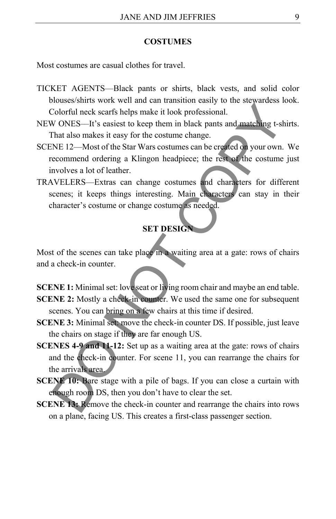#### **COSTUMES**

Most costumes are casual clothes for travel.

- TICKET AGENTS––Black pants or shirts, black vests, and solid color blouses/shirts work well and can transition easily to the stewardess look. Colorful neck scarfs helps make it look professional.
- NEW ONES––It's easiest to keep them in black pants and matching t-shirts. That also makes it easy for the costume change.
- SCENE 12––Most of the Star Wars costumes can be created on your own. We recommend ordering a Klingon headpiece; the rest of the costume just involves a lot of leather.
- TRAVELERS––Extras can change costumes and characters for different scenes; it keeps things interesting. Main characters can stay in their character's costume or change costume as needed.

### **SET DESIGN**

Most of the scenes can take place in a waiting area at a gate: rows of chairs and a check-in counter.

**SCENE 1:** Minimal set: love seat or living room chair and maybe an end table. **SCENE 2:** Mostly a check-in counter. We used the same one for subsequent scenes. You can bring on a few chairs at this time if desired.

- **SCENE 3:** Minimal set: move the check-in counter DS. If possible, just leave the chairs on stage if they are far enough US.
- **SCENES 4-9 and 11-12:** Set up as a waiting area at the gate: rows of chairs and the check-in counter. For scene 11, you can rearrange the chairs for the arrivals area. Colorful neck scarts helps make it look professional.<br>
Colorful neck scarts helps make it look professional.<br>
VONES—It's casiest to keep them in black pants and matching t-sh<br>
That also makes it easy for the costume change
- **SCENE 10: Bare stage with a pile of bags. If you can close a curtain with** enough room DS, then you don't have to clear the set.
- **SCENE 13:** Remove the check-in counter and rearrange the chairs into rows on a plane, facing US. This creates a first-class passenger section.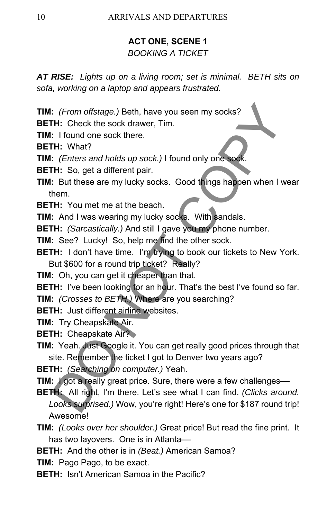### **ACT ONE, SCENE 1**

### *BOOKING A TICKET*

*AT RISE: Lights up on a living room; set is minimal. BETH sits on sofa, working on a laptop and appears frustrated.* 

**TIM:** *(From offstage.)* Beth, have you seen my socks?

**BETH:** Check the sock drawer, Tim.

**TIM:** I found one sock there.

**BETH:** What?

**TIM:** *(Enters and holds up sock.)* I found only one soc

**BETH:** So, get a different pair.

- **TIM:** But these are my lucky socks. Good things happen when I wear them.
- **BETH:** You met me at the beach.

**TIM:** And I was wearing my lucky socks. With sandals.

**BETH:** *(Sarcastically.)* And still I gave you my phone number.

**TIM:** See? Lucky! So, help me find the other sock.

**BETH:** I don't have time. I'm trying to book our tickets to New York. But \$600 for a round trip ticket? Really?

**TIM:** Oh, you can get it cheaper than that.

**BETH:** I've been looking for an hour. That's the best I've found so far.

**TIM:** *(Crosses to BETH.)* Where are you searching?

**BETH:** Just different airline websites.

**TIM:** Try Cheapskate Air.

**BETH: Cheapskate Air?** 

**TIM:** Yeah. Just Google it. You can get really good prices through that site. Remember the ticket I got to Denver two years ago?

**BETH:** *(Searching on computer.)* Yeah.

**TIM:** *I* got a really great price. Sure, there were a few challenges—

- **BETH:** All right, I'm there. Let's see what I can find. *(Clicks around. Looks surprised.)* Wow, you're right! Here's one for \$187 round trip! Awesome! : (From offstage.) Beth, have you seen my socks?<br>
TH: Check the sock drawer, Tim.<br>
: I found one sock there.<br>
TH: What?<br>
: Erlies and holds up sock.) I found only one sock.<br>
TH: So, get a different pair.<br>
TH: So, get a dif
- **TIM:** *(Looks over her shoulder.)* Great price! But read the fine print. It has two layovers. One is in Atlanta-
- **BETH:** And the other is in *(Beat.)* American Samoa?
- **TIM:** Pago Pago, to be exact.
- **BETH:** Isn't American Samoa in the Pacific?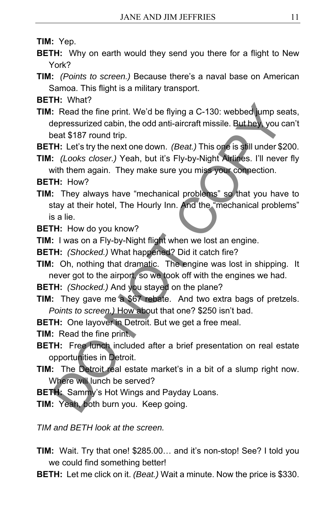**TIM:** Yep.

- **BETH:** Why on earth would they send you there for a flight to New York?
- **TIM:** *(Points to screen.)* Because there's a naval base on American Samoa. This flight is a military transport.

**BETH:** What?

**TIM:** Read the fine print. We'd be flying a C-130: webbed jump seats, depressurized cabin, the odd anti-aircraft missile. But hey, you can't beat \$187 round trip. 17 The Burnett We'd be flying a C-130: webbed ump seen the fine print. We'd be flying a C-130: webbed ump seen the pressurized cabin, the odd anti-aircraft missile. But hey ivou count \$187 round trip.<br>
TH: Let's try the ne

**BETH:** Let's try the next one down. *(Beat.)* This one is still under \$200.

**TIM:** *(Looks closer.)* Yeah, but it's Fly-by-Night Airlines. I'll never fly with them again. They make sure you miss your connection.

**BETH:** How?

**TIM:** They always have "mechanical problems" so that you have to stay at their hotel, The Hourly Inn. And the "mechanical problems" is a lie.

**BETH:** How do you know?

**TIM:** I was on a Fly-by-Night flight when we lost an engine.

**BETH:** *(Shocked.)* What happened? Did it catch fire?

- **TIM:** Oh, nothing that dramatic. The engine was lost in shipping. It never got to the airport, so we took off with the engines we had.
- **BETH:** *(Shocked.)* And you stayed on the plane?
- **TIM:** They gave me a \$67 rebate. And two extra bags of pretzels. *Points to screen.)* How about that one? \$250 isn't bad.
- **BETH:** One layover in Detroit. But we get a free meal.
- **TIM:** Read the fine print.
- **BETH:** Free lunch included after a brief presentation on real estate opportunities in Detroit.
- **TIM:** The Detroit real estate market's in a bit of a slump right now. Where will lunch be served?

**BETH:** Sammy's Hot Wings and Payday Loans.

**TIM:** Yeah, both burn you. Keep going.

*TIM and BETH look at the screen.* 

- **TIM:** Wait. Try that one! \$285.00… and it's non-stop! See? I told you we could find something better!
- **BETH:** Let me click on it. *(Beat.)* Wait a minute. Now the price is \$330.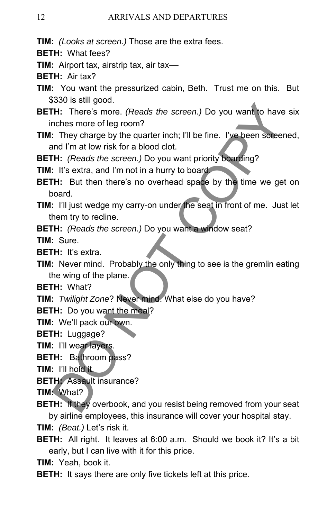**TIM:** *(Looks at screen.)* Those are the extra fees.

**BETH:** What fees?

**TIM:** Airport tax, airstrip tax, air tax—

**BETH:** Air tax?

**TIM:** You want the pressurized cabin, Beth. Trust me on this. But \$330 is still good.

**BETH:** There's more. *(Reads the screen.)* Do you want to have six inches more of leg room? NOTE There's more. (Reads the screen.) Do you want to have<br>
TH: There's more. (Reads the screen.) Do you want to have<br>
notes more of leg room?<br>
They charge by the quarter inch; I'll be fine. I've been screen<br>
ind I'm at lo

**TIM:** They charge by the quarter inch; I'll be fine. I've been screened, and I'm at low risk for a blood clot.

**BETH:** *(Reads the screen.)* Do you want priority boarding?

**TIM:** It's extra, and I'm not in a hurry to board

**BETH:** But then there's no overhead space by the time we get on board.

**TIM:** I'll just wedge my carry-on under the seat in front of me. Just let them try to recline.

**BETH:** *(Reads the screen.)* Do you want a window seat?

**TIM:** Sure.

**BETH:** It's extra.

**TIM:** Never mind. Probably the only thing to see is the gremlin eating the wing of the plane.

**BETH:** What?

**TIM:** *Twilight Zone*? Never mind. What else do you have?

**BETH:** Do you want the meal?

**TIM:** We'll pack our own.

**BETH:** Luggage?

**TIM:** I'll wear layers.

**BETH:** Bathroom pass?

**TIM:** I'll hold it.

**BETH:** Assault insurance?

**TIM:** What?

**BETH:** If they overbook, and you resist being removed from your seat by airline employees, this insurance will cover your hospital stay.

**TIM:** *(Beat.)* Let's risk it.

**BETH:** All right. It leaves at 6:00 a.m. Should we book it? It's a bit early, but I can live with it for this price.

**TIM:** Yeah, book it.

**BETH:** It says there are only five tickets left at this price.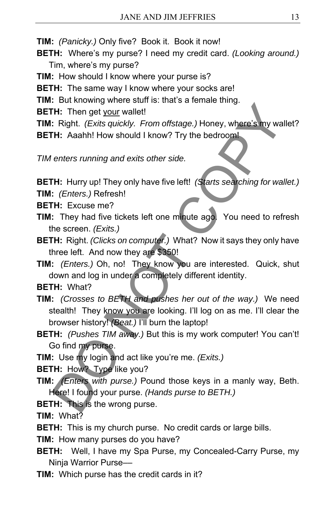- **TIM:** *(Panicky.)* Only five? Book it. Book it now!
- **BETH:** Where's my purse? I need my credit card. *(Looking around.)*  Tim, where's my purse?
- **TIM:** How should I know where your purse is?
- **BETH:** The same way I know where your socks are!
- **TIM:** But knowing where stuff is: that's a female thing.
- **BETH:** Then get your wallet!
- **TIM:** Right. *(Exits quickly. From offstage.)* Honey, where's my wallet?
- **BETH:** Aaahh! How should I know? Try the bedroom!
- *TIM enters running and exits other side.*

**BETH:** Hurry up! They only have five left! *(Starts searching for wallet.)* 

**TIM:** *(Enters.)* Refresh!

- **BETH:** Excuse me?
- **TIM:** They had five tickets left one minute ago. You need to refresh the screen. *(Exits.)*
- **BETH:** Right. *(Clicks on computer.)* What? Now it says they only have three left. And now they are \$350!
- **TIM:** *(Enters.)* Oh, no! They know you are interested. Quick, shut down and log in under a completely different identity.
- **BETH:** What?
- **TIM:** *(Crosses to BETH and pushes her out of the way.)* We need stealth! They know you are looking. I'll log on as me. I'll clear the browser history! *(Beat.)* I'll burn the laptop! Then get your wallet!<br>
Then get your wallet!<br>
Then get your wallet!<br>
Then get your wallet!<br>
Then get your wallet!<br>
Then are wallet are a series of the second<br>
Then then seed in the second of the second<br>
Then are second int
- **BETH:** *(Pushes TIM away.)* But this is my work computer! You can't! Go find my purse.
- **TIM:** Use my login and act like you're me. *(Exits.)*

**BETH:** How? Type like you?

- **TIM:** *(Enters with purse.)* Pound those keys in a manly way, Beth. Here! I found your purse. *(Hands purse to BETH.)*
- **BETH:** This is the wrong purse.

**TIM:** What?

- **BETH:** This is my church purse. No credit cards or large bills.
- **TIM:** How many purses do you have?
- **BETH:** Well, I have my Spa Purse, my Concealed-Carry Purse, my Ninja Warrior Purse––
- **TIM:** Which purse has the credit cards in it?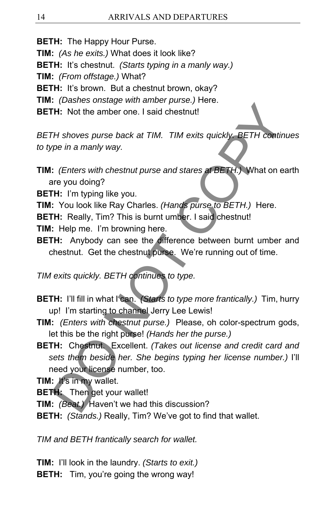**BETH:** The Happy Hour Purse.

**TIM:** *(As he exits.)* What does it look like?

**BETH:** It's chestnut. *(Starts typing in a manly way.)* 

**TIM:** *(From offstage.)* What?

**BETH:** It's brown. But a chestnut brown, okay?

**TIM:** *(Dashes onstage with amber purse.)* Here.

**BETH:** Not the amber one. I said chestnut!

*BETH shoves purse back at TIM. TIM exits quickly. BETH continues to type in a manly way.* 

**TIM:** *(Enters with chestnut purse and stares at BETH.)* What on earth are you doing?

**BETH:** I'm typing like you.

**TIM:** You look like Ray Charles. *(Hands purse to BETH.)* Here.

**BETH:** Really, Tim? This is burnt umber. I said chestnut!

**TIM:** Help me. I'm browning here.

**BETH:** Anybody can see the difference between burnt umber and chestnut. Get the chestnut purse. We're running out of time.

*TIM exits quickly. BETH continues to type.* 

- **BETH:** I'll fill in what I can. *(Starts to type more frantically.)* Tim, hurry up! I'm starting to channel Jerry Lee Lewis!
- **TIM:** *(Enters with chestnut purse.)* Please, oh color-spectrum gods, let this be the right purse! *(Hands her the purse.)*
- **BETH:** Chestnut. Excellent. *(Takes out license and credit card and sets them beside her. She begins typing her license number.)* I'll need your license number, too. The State of the amber place of the best and the relation of the state of the state of the ambre one. I said chestnut<br>
The showes purse back at TIM. TIM exits quickly BETH contin-<br>
type in a manly way.<br>
The state of the st

**TIM:** It's in my wallet.

**BETH:** Then get your wallet!

**TIM:** *(Beat.)* Haven't we had this discussion?

**BETH:** *(Stands.)* Really, Tim? We've got to find that wallet.

*TIM and BETH frantically search for wallet.* 

**TIM:** I'll look in the laundry. *(Starts to exit.)*  **BETH:** Tim, you're going the wrong way!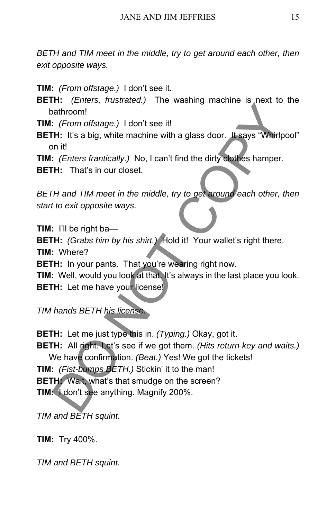*BETH and TIM meet in the middle, try to get around each other, then exit opposite ways.* 

**TIM:** *(From offstage.)* I don't see it.

- **BETH:** *(Enters, frustrated.)* The washing machine is next to the bathroom!
- **TIM:** *(From offstage.)* I don't see it!
- **BETH:** It's a big, white machine with a glass door. It says "Whirlpool" on it!
- **TIM:** *(Enters frantically.)* No, I can't find the dirty clothes hamper.
- **BETH:** That's in our closet.

*BETH and TIM meet in the middle, try to get around each other, then start to exit opposite ways.*

**TIM:** I'll be right ba— **BETH:** *(Grabs him by his shirt.)* Hold it! Your wallet's right there. **TIM:** Where? **BETH:** In your pants. That you're wearing right now. The History of States and Maryland Control of States and Noon!<br>
Statistically Just also white machine with a glass door. It says "Whirly<br>
The It's a big, white machine with a glass door. It says "Whirly<br>
The It's It's a bi

**TIM:** Well, would you look at that. It's always in the last place you look. **BETH:** Let me have your license!

*TIM hands BETH his license.* 

**BETH:** Let me just type this in. *(Typing.)* Okay, got it.

**BETH:** All right. Let's see if we got them. *(Hits return key and waits.)*  We have confirmation. *(Beat.)* Yes! We got the tickets! **TIM:** *(Fist-bumps BETH.)* Stickin' it to the man! **BETH:** Wait, what's that smudge on the screen?

**TIM:** I don't see anything. Magnify 200%.

*TIM and BETH squint.* 

**TIM:** Try 400%.

*TIM and BETH squint.*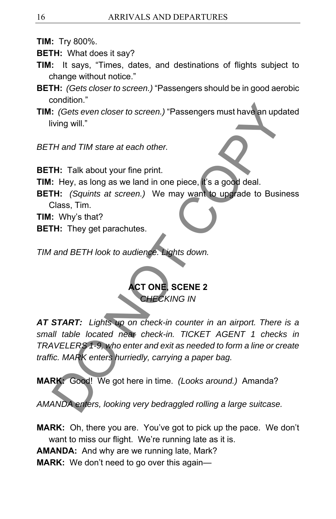- **TIM:** Try 800%.
- **BETH:** What does it say?
- **TIM:** It says, "Times, dates, and destinations of flights subject to change without notice."
- **BETH:** *(Gets closer to screen.)* "Passengers should be in good aerobic condition."
- **TIM:** *(Gets even closer to screen.)* "Passengers must have an updated living will."

*BETH and TIM stare at each other.* 

**BETH:** Talk about your fine print.

**TIM:** Hey, as long as we land in one piece, it's a good deal.

**BETH:** *(Squints at screen.)* We may want to upgrade to Business Class, Tim.

**TIM:** Why's that?

**BETH:** They get parachutes.

*TIM and BETH look to audience. Lights down.* 

**ACT ONE, SCENE 2 CHECKING IN** 

*AT START: Lights up on check-in counter in an airport. There is a small table located near check-in. TICKET AGENT 1 checks in TRAVELERS 1-9, who enter and exit as needed to form a line or create traffic. MARK enters hurriedly, carrying a paper bag.*  Construction:<br>
Consideration:<br>
Consideration of the galaxy beat and the galaxy and the galaxy will."<br>
The and TIM stare at each other.<br>
The TIM stare at each other.<br>
The TIM stare at each other.<br>
The TIM stare at each othe

**MARK:** Good! We got here in time. *(Looks around.)* Amanda?

*AMANDA enters, looking very bedraggled rolling a large suitcase.* 

**MARK:** Oh, there you are. You've got to pick up the pace. We don't want to miss our flight. We're running late as it is.

**AMANDA:** And why are we running late, Mark?

**MARK:** We don't need to go over this again—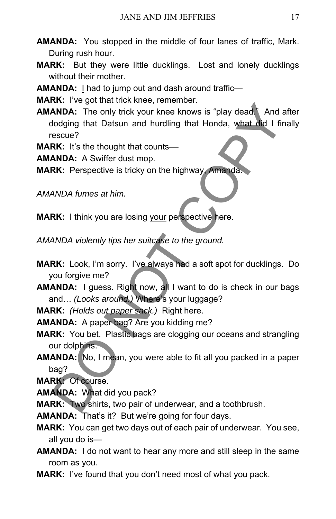- **AMANDA:** You stopped in the middle of four lanes of traffic, Mark. During rush hour.
- **MARK:** But they were little ducklings. Lost and lonely ducklings without their mother.
- **AMANDA:** I had to jump out and dash around traffic—

**MARK:** I've got that trick knee, remember.

- **AMANDA:** The only trick your knee knows is "play dead." And after dodging that Datsun and hurdling that Honda, what did I finally rescue? **EXECT ANDA:** The only trick your knee knows is "play dead. And a<br> **ANDA:** The only trick your knee knows is "play dead. And a<br>
dodging that Datsun and hurdling that Honda, what did 1 fire<br>
SRC: It's the thought that count
- **MARK:** It's the thought that counts-
- **AMANDA:** A Swiffer dust mop.
- **MARK:** Perspective is tricky on the highway, Amanda.

*AMANDA fumes at him.* 

- **MARK:** I think you are losing your perspective here.
- *AMANDA violently tips her suitcase to the ground.*
- **MARK:** Look, I'm sorry. I've always had a soft spot for ducklings. Do you forgive me?
- **AMANDA:** I guess. Right now, all I want to do is check in our bags and… *(Looks around.)* Where's your luggage?

**MARK:** *(Holds out paper sack.)* Right here.

- **AMANDA:** A paper bag? Are you kidding me?
- **MARK:** You bet. Plastic bags are clogging our oceans and strangling our dolphins.
- **AMANDA:** No, I mean, you were able to fit all you packed in a paper bag?

**MARK:** Of course.

**AMANDA:** What did you pack?

**MARK:** Two shirts, two pair of underwear, and a toothbrush.

- **AMANDA:** That's it? But we're going for four days.
- **MARK:** You can get two days out of each pair of underwear. You see, all you do is—
- **AMANDA:** I do not want to hear any more and still sleep in the same room as you.
- **MARK:** I've found that you don't need most of what you pack.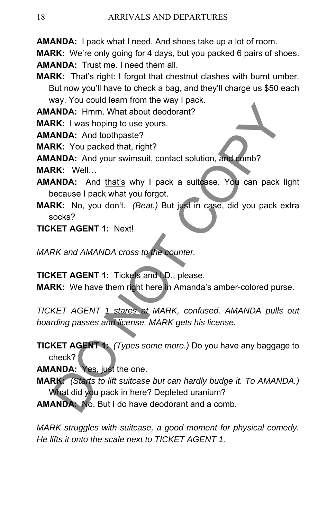**AMANDA:** I pack what I need. And shoes take up a lot of room.

**MARK:** We're only going for 4 days, but you packed 6 pairs of shoes. **AMANDA:** Trust me. I need them all.

**MARK:** That's right: I forgot that chestnut clashes with burnt umber. But now you'll have to check a bag, and they'll charge us \$50 each way. You could learn from the way I pack.

**AMANDA:** Hmm. What about deodorant?

**MARK:** I was hoping to use yours.

**AMANDA:** And toothpaste?

**MARK:** You packed that, right?

**AMANDA:** And your swimsuit, contact solution, and comb?

**MARK:** Well…

**AMANDA:** And that's why I pack a suitcase. You can pack light because I pack what you forgot.

**MARK:** No, you don't. *(Beat.)* But just in case, did you pack extra socks?

### **TICKET AGENT 1:** Next!

*MARK and AMANDA cross to the counter.* 

**TICKET AGENT 1:** Tickets and I.D., please.

**MARK:** We have them right here in Amanda's amber-colored purse.

*TICKET AGENT 1 stares at MARK, confused. AMANDA pulls out boarding passes and license. MARK gets his license.*  **EXECT AGENT 1:** To the one more in the same of the SNDA: We have a control of the SNDA: And toothpaste?<br> **RK:** You packed that, right?<br> **RK:** You packed that, right?<br> **RK:** Well... And your swimsuit, contact solution, and

**TICKET AGENT 1:** *(Types some more.)* Do you have any baggage to check?

**AMANDA:** Yes, just the one.

**MARK:** *(Starts to lift suitcase but can hardly budge it. To AMANDA.)*  What did you pack in here? Depleted uranium?

**AMANDA:** No. But I do have deodorant and a comb.

*MARK struggles with suitcase, a good moment for physical comedy. He lifts it onto the scale next to TICKET AGENT 1.*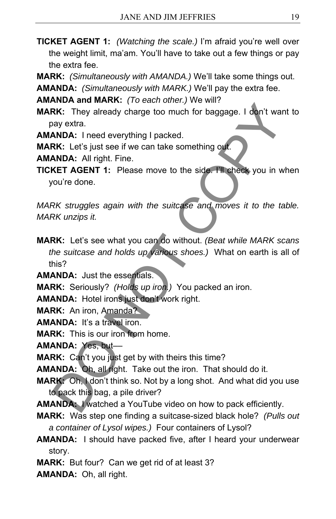- **TICKET AGENT 1:** *(Watching the scale.)* I'm afraid you're well over the weight limit, ma'am. You'll have to take out a few things or pay the extra fee.
- **MARK:** *(Simultaneously with AMANDA.)* We'll take some things out.

**AMANDA:** *(Simultaneously with MARK.)* We'll pay the extra fee.

**AMANDA and MARK:** *(To each other.)* We will?

**MARK:** They already charge too much for baggage. I don't want to pay extra.

**AMANDA:** I need everything I packed.

**MARK:** Let's just see if we can take something out.

**AMANDA:** All right. Fine.

**TICKET AGENT 1:** Please move to the side. I'll check you in when you're done.

*MARK struggles again with the suitcase and moves it to the table. MARK unzips it.* 

**MARK:** Let's see what you can do without. *(Beat while MARK scans the suitcase and holds up various shoes.)* What on earth is all of this? **EXECT THE SECT THE SECT THE SECT THE SECT THE SECT THANDA:** They already charge too much for baggage. I don't war<br>ay extra.<br>**ANDA:** I need everything I packed.<br>**ANDA:** ANDA: All right. Fine.<br>**ANDA:** ANDA: All right. Fine.

**AMANDA:** Just the essentials.

**MARK:** Seriously? *(Holds up iron.)* You packed an iron.

**AMANDA:** Hotel irons just don't work right.

**MARK:** An iron, Amanda?

**AMANDA:** It's a travel iron.

**MARK:** This is our iron from home.

**AMANDA:** Yes, but––

**MARK:** Can't you just get by with theirs this time?

**AMANDA:** Oh, all right. Take out the iron. That should do it.

**MARK:** Oh, I don't think so. Not by a long shot. And what did you use to pack this bag, a pile driver?

**AMANDA:** I watched a YouTube video on how to pack efficiently.

- **MARK:** Was step one finding a suitcase-sized black hole? *(Pulls out a container of Lysol wipes.)* Four containers of Lysol?
- **AMANDA:** I should have packed five, after I heard your underwear story.
- **MARK:** But four? Can we get rid of at least 3?
- **AMANDA:** Oh, all right.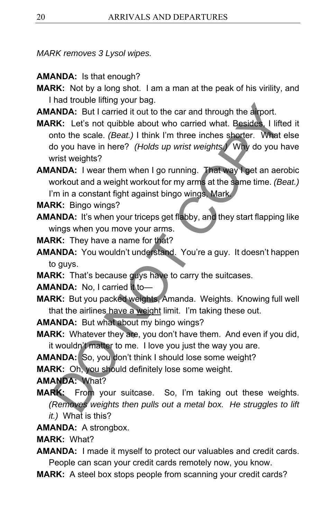*MARK removes 3 Lysol wipes.* 

- **AMANDA:** Is that enough?
- **MARK:** Not by a long shot. I am a man at the peak of his virility, and I had trouble lifting your bag.
- **AMANDA:** But I carried it out to the car and through the airport.
- **MARK:** Let's not quibble about who carried what. Besides, I lifted it onto the scale. *(Beat.)* I think I'm three inches shorter. What else do you have in here? *(Holds up wrist weights.)* Why do you have wrist weights? Name about the state of the state of the state of the state of RRK: Driver state of Name and through the scale. (Beat.) I think I'm three inches shorter. What to you have in here? (Holds up wrist weights.) Why do you have
- **AMANDA:** I wear them when I go running. That way I get an aerobic workout and a weight workout for my arms at the same time. *(Beat.)*  I'm in a constant fight against bingo wings, Mark.
- **MARK:** Bingo wings?
- **AMANDA:** It's when your triceps get flabby, and they start flapping like wings when you move your arms.
- **MARK:** They have a name for that?
- **AMANDA:** You wouldn't understand. You're a guy. It doesn't happen to guys.
- **MARK:** That's because guys have to carry the suitcases.

**AMANDA:** No. I carried it to-

- **MARK:** But you packed weights, Amanda. Weights. Knowing full well that the airlines have a weight limit. I'm taking these out.
- **AMANDA:** But what about my bingo wings?
- **MARK:** Whatever they are, you don't have them. And even if you did, it wouldn't matter to me. I love you just the way you are.
- **AMANDA:** So, you don't think I should lose some weight?
- **MARK:** Oh, you should definitely lose some weight.

# **AMANDA:** What?

- **MARK:** From your suitcase. So, I'm taking out these weights. *(Removes weights then pulls out a metal box. He struggles to lift it.)* What is this?
- **AMANDA:** A strongbox.
- **MARK:** What?
- **AMANDA:** I made it myself to protect our valuables and credit cards. People can scan your credit cards remotely now, you know.
- **MARK:** A steel box stops people from scanning your credit cards?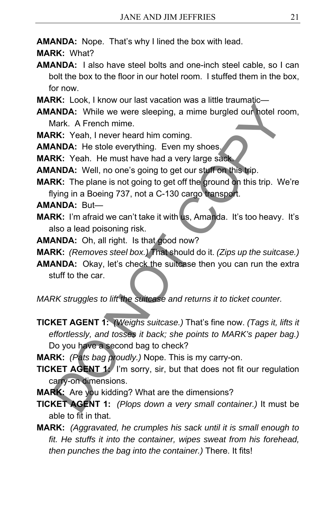**AMANDA:** Nope. That's why I lined the box with lead.

- **MARK:** What?
- **AMANDA:** I also have steel bolts and one-inch steel cable, so I can bolt the box to the floor in our hotel room. I stuffed them in the box, for now.
- **MARK:** Look, I know our last vacation was a little traumatic—
- **AMANDA:** While we were sleeping, a mime burgled our hotel room, Mark. A French mime.
- **MARK:** Yeah, I never heard him coming.
- **AMANDA:** He stole everything. Even my shoes.
- **MARK:** Yeah. He must have had a very large sack.
- **AMANDA:** Well, no one's going to get our stuff on this trip.
- **MARK:** The plane is not going to get off the ground on this trip. We're flying in a Boeing 737, not a C-130 cargo transport.
- **AMANDA:** But—
- **MARK:** I'm afraid we can't take it with us, Amanda. It's too heavy. It's also a lead poisoning risk.
- **AMANDA:** Oh, all right. Is that good now?
- **MARK:** *(Removes steel box.)* That should do it. *(Zips up the suitcase.)*
- **AMANDA:** Okay, let's check the suitcase then you can run the extra stuff to the car.

*MARK struggles to lift the suitcase and returns it to ticket counter.* 

- **TICKET AGENT 1:** *(Weighs suitcase.)* That's fine now. *(Tags it, lifts it effortlessly, and tosses it back; she points to MARK's paper bag.)*  Do you have a second bag to check? **EXECUTE ANDA:** While we were sleeping, a mime burgled our botel rollar and the were sleeping, a mime burgled our botel rollar that. A French mime.<br>**RK:** Yeah, I never heard him coming.<br>**RK:** Yeah, I never heard him coming
- **MARK:** *(Pats bag proudly.)* Nope. This is my carry-on.
- **TICKET AGENT 1:** I'm sorry, sir, but that does not fit our regulation carry-on dimensions.
- **MARK:** Are you kidding? What are the dimensions?
- **TICKET AGENT 1:** *(Plops down a very small container.)* It must be able to fit in that.
- **MARK:** *(Aggravated, he crumples his sack until it is small enough to fit. He stuffs it into the container, wipes sweat from his forehead, then punches the bag into the container.)* There. It fits!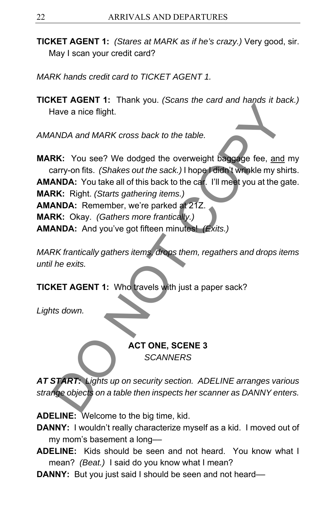- **TICKET AGENT 1:** *(Stares at MARK as if he's crazy.)* Very good, sir. May I scan your credit card?
- *MARK hands credit card to TICKET AGENT 1.*
- **TICKET AGENT 1:** Thank you. *(Scans the card and hands it back.)*  Have a nice flight.

*AMANDA and MARK cross back to the table.*

**MARK:** You see? We dodged the overweight baggage fee, and my carry-on fits. *(Shakes out the sack.)* I hope I didn't wrinkle my shirts. **AMANDA:** You take all of this back to the car. I'll meet you at the gate. **MARK:** Right. *(Starts gathering items.)*  **AMANDA:** Remember, we're parked at 21Z. **MARK:** Okay. *(Gathers more frantically.)*  **AMANDA:** And you've got fifteen minutes! *(Exits.)*  National MARK cross back to the table.<br>
Have a nice flight.<br>
ANDA and MARK cross back to the table.<br>
RK: You see? We dodged the overweight baggage fee, and<br>
rarry-on fits. (Shakes out the sack.) I hope I didn't winkle my s

*MARK frantically gathers items, drops them, regathers and drops items until he exits.* 

**TICKET AGENT 1:** Who travels with just a paper sack?

*Lights down.*

### **ACT ONE, SCENE 3**  *SCANNERS*

*AT START: Lights up on security section. ADELINE arranges various strange objects on a table then inspects her scanner as DANNY enters.* 

**ADELINE:** Welcome to the big time, kid.

- **DANNY:** I wouldn't really characterize myself as a kid. I moved out of my mom's basement a long-
- **ADELINE:** Kids should be seen and not heard. You know what I mean? *(Beat.)* I said do you know what I mean?
- **DANNY:** But you just said I should be seen and not heard––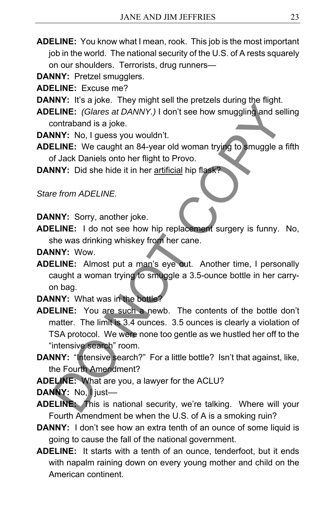- **ADELINE:** You know what I mean, rook. This job is the most important job in the world. The national security of the U.S. of A rests squarely on our shoulders. Terrorists, drug runners—
- **DANNY:** Pretzel smugglers.
- **ADELINE:** Excuse me?
- **DANNY:** It's a joke. They might sell the pretzels during the flight.
- **ADELINE:** *(Glares at DANNY.)* I don't see how smuggling and selling contraband is a joke.
- **DANNY:** No, I guess you wouldn't.
- **ADELINE:** We caught an 84-year old woman trying to smuggle a fifth of Jack Daniels onto her flight to Provo.
- **DANNY:** Did she hide it in her artificial hip flask?

*Stare from ADELINE.* 

**DANNY:** Sorry, another joke.

- **ADELINE:** I do not see how hip replacement surgery is funny. No, she was drinking whiskey from her cane.
- **DANNY:** Wow.
- **ADELINE:** Almost put a man's eye out. Another time, I personally caught a woman trying to smuggle a 3.5-ounce bottle in her carryon bag.
- **DANNY:** What was in the bottle?
- **ADELINE:** You are such a newb. The contents of the bottle don't matter. The limit is 3.4 ounces. 3.5 ounces is clearly a violation of TSA protocol. We were none too gentle as we hustled her off to the "intensive search" room. ILINE: Clares at DANNY.) I don't see how smuggling and set<br>
LINE: (Glares at DANNY.) I don't see how smuggling and set<br>
scontraband is a joke.<br>
NY: No, I guess you wouldn't.<br>
NOT: No, I guess you wouldn't.<br>
NOT: Did she hi
- DANNY: "Intensive search?" For a little bottle? Isn't that against, like, the Fourth Amendment?
- **ADELINE:** What are you, a lawyer for the ACLU?

**DANNY:** No, I just––

- **ADELINE:** This is national security, we're talking. Where will your Fourth Amendment be when the U.S. of A is a smoking ruin?
- **DANNY:** I don't see how an extra tenth of an ounce of some liquid is going to cause the fall of the national government.
- **ADELINE:** It starts with a tenth of an ounce, tenderfoot, but it ends with napalm raining down on every young mother and child on the American continent.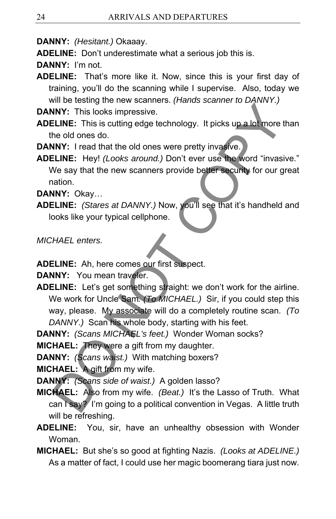**DANNY:** *(Hesitant.)* Okaaay.

**ADELINE:** Don't underestimate what a serious job this is.

**DANNY:** I'm not.

**ADELINE:** That's more like it. Now, since this is your first day of training, you'll do the scanning while I supervise. Also, today we will be testing the new scanners. *(Hands scanner to DANNY.)* 

**DANNY:** This looks impressive.

- **ADELINE:** This is cutting edge technology. It picks up a lot more than the old ones do.
- **DANNY:** I read that the old ones were pretty invasive.

**ADELINE:** Hey! *(Looks around.)* Don't ever use the word "invasive." We say that the new scanners provide better security for our great nation.

**DANNY:** Okay…

**ADELINE:** *(Stares at DANNY.)* Now, you'll see that it's handheld and looks like your typical cellphone.

*MICHAEL enters.* 

**ADELINE:** Ah, here comes our first suspect.

**DANNY:** You mean traveler.

**ADELINE:** Let's get something straight: we don't work for the airline. We work for Uncle Sam*. (To MICHAEL.)* Sir, if you could step this way, please. My associate will do a completely routine scan. *(To DANNY.)* Scan his whole body, starting with his feet. MY: This looks impressive.<br>
NNY: This looks impressive.<br>
ELINE: This is cutting edge technology. It picks up a lot more the old ones do.<br>
NNY: Iread that the old ones were pretty invasive.<br>
NNY: Iread that the old ones wer

**DANNY:** *(Scans MICHAEL's feet.)* Wonder Woman socks?

**MICHAEL:** They were a gift from my daughter.

**DANNY:** *(Scans waist.)* With matching boxers?

**MICHAEL:** A gift from my wife.

**DANNY:** *(Scans side of waist.)* A golden lasso?

- **MICHAEL:** Also from my wife. *(Beat.)* It's the Lasso of Truth. What can I say? I'm going to a political convention in Vegas. A little truth will be refreshing.
- **ADELINE:** You, sir, have an unhealthy obsession with Wonder Woman.
- **MICHAEL:** But she's so good at fighting Nazis. *(Looks at ADELINE.)*  As a matter of fact, I could use her magic boomerang tiara just now.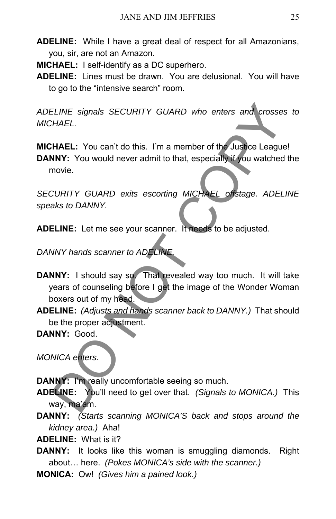**ADELINE:** While I have a great deal of respect for all Amazonians, you, sir, are not an Amazon.

**MICHAEL:** I self-identify as a DC superhero.

**ADELINE:** Lines must be drawn. You are delusional. You will have to go to the "intensive search" room.

*ADELINE signals SECURITY GUARD who enters and crosses to MICHAEL.* 

**MICHAEL:** You can't do this. I'm a member of the Justice League!

**DANNY:** You would never admit to that, especially if you watched the movie.

*SECURITY GUARD exits escorting MICHAEL offstage. ADELINE speaks to DANNY.*

**ADELINE:** Let me see your scanner. It needs to be adjusted.

**DANNY hands scanner to ADELINE** 

- **DANNY:** I should say so. That revealed way too much. It will take years of counseling before I get the image of the Wonder Woman boxers out of my head. ELINE signals SECURITY GUARD who enters and crosse.<br>
HAEL: You can't do this. I'm a member of the Justice League<br>
NNY: You would never admit to that, especially if you watched<br>
novie.<br>
CURITY GUARD exits escorting MICHAEL
- **ADELINE:** *(Adjusts and hands scanner back to DANNY.)* That should be the proper adjustment.

**DANNY:** Good.

*MONICA enters.* 

**DANNY:** I'm really uncomfortable seeing so much.

- **ADELINE:** You'll need to get over that. *(Signals to MONICA.)* This way, ma'am.
- **DANNY:** *(Starts scanning MONICA'S back and stops around the kidney area.)* Aha!

**ADELINE:** What is it?

- **DANNY:** It looks like this woman is smuggling diamonds. Right about… here. *(Pokes MONICA's side with the scanner.)*
- **MONICA:** Ow! *(Gives him a pained look.)*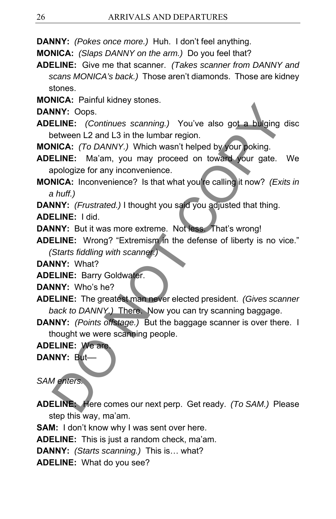**DANNY:** *(Pokes once more.)* Huh. I don't feel anything.

**MONICA:** *(Slaps DANNY on the arm.)* Do you feel that?

**ADELINE:** Give me that scanner. *(Takes scanner from DANNY and scans MONICA's back.)* Those aren't diamonds. Those are kidney stones.

**MONICA:** Painful kidney stones.

**DANNY:** Oops.

**ADELINE:** *(Continues scanning.)* You've also got a bulging disc between L2 and L3 in the lumbar region.

**MONICA:** *(To DANNY.)* Which wasn't helped by your poking.

**ADELINE:** Ma'am, you may proceed on toward your gate. We apologize for any inconvenience.

**MONICA:** Inconvenience? Is that what you're calling it now? *(Exits in a huff.)* 

**DANNY:** *(Frustrated.)* I thought you said you adjusted that thing.

**ADELINE:** I did.

**DANNY:** But it was more extreme. Not less. That's wrong!

**ADELINE:** Wrong? "Extremism in the defense of liberty is no vice." *(Starts fiddling with scanner.)* 

**DANNY:** What?

**ADELINE:** Barry Goldwater.

**DANNY:** Who's he?

**ADELINE:** The greatest man never elected president. *(Gives scanner back to DANNY.)* There. Now you can try scanning baggage.

**DANNY:** *(Points offstage.)* But the baggage scanner is over there. I thought we were scanning people. NIV: Oops.<br>
NIV: Oops.<br>
NIV: Oops.<br>
ELINE: *(Continues scanning.)* You've also got a bulging<br>
eltween L2 and L3 in the lumbar region.<br>
NICA: *ITo DANNY.)* Which wasn't helped by **your poking.**<br>
NICA: *ITo DANNY.)* Which wa

**ADELINE:** We are.

**DANNY:** But––

*SAM enters.* 

**ADELINE:** Here comes our next perp. Get ready. *(To SAM.)* Please step this way, ma'am.

**SAM:** I don't know why I was sent over here.

**ADELINE:** This is just a random check, ma'am.

**DANNY:** *(Starts scanning.)* This is… what?

**ADELINE:** What do you see?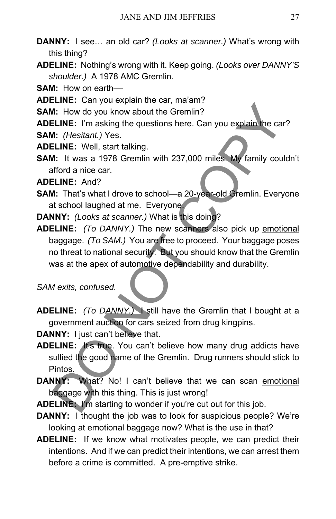- **DANNY:** I see… an old car? *(Looks at scanner.)* What's wrong with this thing?
- **ADELINE:** Nothing's wrong with it. Keep going. *(Looks over DANNY'S shoulder.)* A 1978 AMC Gremlin.

**SAM:** How on earth––

**ADELINE:** Can you explain the car, ma'am?

**SAM:** How do you know about the Gremlin?

**ADELINE:** I'm asking the questions here. Can you explain the car?

**SAM:** *(Hesitant.)* Yes.

- **ADELINE:** Well, start talking.
- **SAM:** It was a 1978 Gremlin with 237,000 miles. My family couldn't afford a nice car.

**ADELINE:** And?

**SAM:** That's what I drove to school—a 20-year-old Gremlin. Everyone at school laughed at me. Everyone.

**DANNY:** *(Looks at scanner.)* What is this doing?

**ADELINE:** *(To DANNY.)* The new scanners also pick up emotional baggage. *(To SAM.)* You are free to proceed. Your baggage poses no threat to national security. But you should know that the Gremlin was at the apex of automotive dependability and durability. **ELINE:** University and the Gremlin?<br> **ELINE:** How do you know about the Gremlin?<br> **ELINE:** I'm asking the questions here. Can you explain the care<br> **I.:** (*Hesitant.*) Yes.<br> **ELINE:** Well, start talking.<br> **A:** It was a 19

*SAM exits, confused.* 

**ADELINE:** *(To DANNY.)* I still have the Gremlin that I bought at a government auction for cars seized from drug kingpins.

**DANNY:** I just can't believe that.

- **ADELINE:** It's true. You can't believe how many drug addicts have sullied the good name of the Gremlin. Drug runners should stick to Pintos.
- **DANNY:** What? No! I can't believe that we can scan emotional baggage with this thing. This is just wrong!

**ADELINE:** I'm starting to wonder if you're cut out for this job.

- **DANNY:** I thought the job was to look for suspicious people? We're looking at emotional baggage now? What is the use in that?
- **ADELINE:** If we know what motivates people, we can predict their intentions. And if we can predict their intentions, we can arrest them before a crime is committed. A pre-emptive strike.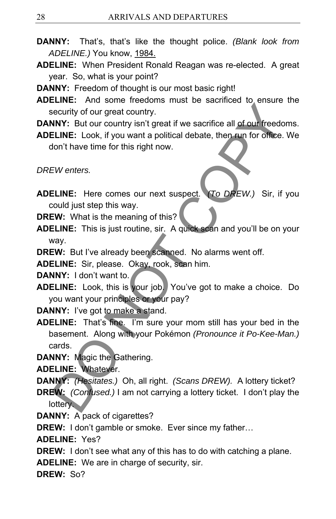- **DANNY:** That's, that's like the thought police. *(Blank look from ADELINE.)* You know, 1984.
- **ADELINE:** When President Ronald Reagan was re-elected. A great year. So, what is your point?
- **DANNY:** Freedom of thought is our most basic right!
- **ADELINE:** And some freedoms must be sacrificed to ensure the security of our great country.

**DANNY:** But our country isn't great if we sacrifice all of our freedoms.

**ADELINE:** Look, if you want a political debate, then run for office. We don't have time for this right now.

*DREW enters.* 

- **ADELINE:** Here comes our next suspect. *(To DREW.)* Sir, if you could just step this way.
- **DREW:** What is the meaning of this?
- **ADELINE:** This is just routine, sir. A quick scan and you'll be on your way.

**DREW:** But I've already been scanned. No alarms went off.

**ADELINE:** Sir, please. Okay, rook, scan him.

**DANNY:** I don't want to.

**ADELINE:** Look, this is your job. You've got to make a choice. Do you want your principles or your pay?

**DANNY:** I've got to make a stand.

**ADELINE:** That's fine. I'm sure your mom still has your bed in the basement. Along with your Pokémon *(Pronounce it Po-Kee-Man.)*  cards. Control of our geat country.<br>
Security of our great country.<br>
NNY: But our country isn't great if we sacrifice all of our freedor.<br>
ELINE: Look, if you want a political debate, then run for office.<br>
ELINE: Here comes our n

**DANNY:** Magic the Gathering.

**ADELINE:** Whatever.

**DANNY:** *(Hesitates.)* Oh, all right. *(Scans DREW).* A lottery ticket?

- **DREW:** *(Confused.)* I am not carrying a lottery ticket. I don't play the lottery.
- **DANNY:** A pack of cigarettes?

**DREW:** I don't gamble or smoke. Ever since my father…

**ADELINE:** Yes?

**DREW:** I don't see what any of this has to do with catching a plane.

**ADELINE:** We are in charge of security, sir.

**DREW:** So?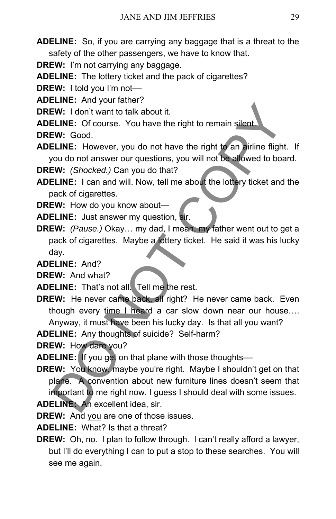**ADELINE:** So, if you are carrying any baggage that is a threat to the safety of the other passengers, we have to know that.

**DREW:** I'm not carrying any baggage.

**ADELINE:** The lottery ticket and the pack of cigarettes?

**DREW:** I told you I'm not-

**ADELINE:** And your father?

**DREW:** I don't want to talk about it.

**ADELINE:** Of course. You have the right to remain silent.

**DREW:** Good.

**ADELINE:** However, you do not have the right to an airline flight. If you do not answer our questions, you will not be allowed to board.

**DREW:** *(Shocked.)* Can you do that?

- **ADELINE:** I can and will. Now, tell me about the lottery ticket and the pack of cigarettes.
- **DREW:** How do you know about—
- **ADELINE:** Just answer my question, sir.

**DREW:** *(Pause.)* Okay… my dad, I mean, my father went out to get a pack of cigarettes. Maybe a lottery ticket. He said it was his lucky day.

**ADELINE:** And?

**DREW:** And what?

**ADELINE:** That's not all. Tell me the rest.

**DREW:** He never came back, all right? He never came back. Even though every time I heard a car slow down near our house…. Anyway, it must have been his lucky day. Is that all you want?

**ADELINE:** Any thoughts of suicide? Self-harm?

**DREW:** How dare you?

- **ADELINE:** If you get on that plane with those thoughts––
- **DREW:** You know, maybe you're right. Maybe I shouldn't get on that plane. A convention about new furniture lines doesn't seem that important to me right now. I guess I should deal with some issues. **ADELINE:** An excellent idea, sir. EW: I don't want to talk about it.<br>
ELINE: Of course. You have the right to remain silent.<br>
ELINE: Of course. You have the right to remain silent.<br>
CW: Good.<br>
CO not nawer our questions, you will not be allowed to boat<br>
CW

**DREW:** And you are one of those issues.

**ADELINE:** What? Is that a threat?

**DREW:** Oh, no. I plan to follow through. I can't really afford a lawyer, but I'll do everything I can to put a stop to these searches. You will see me again.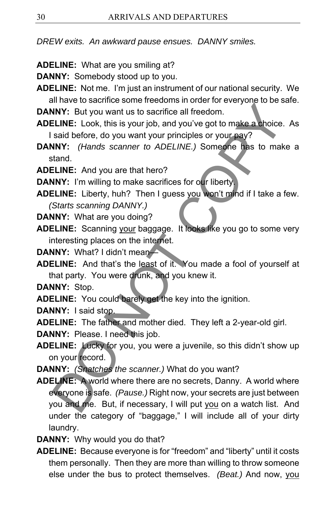*DREW exits. An awkward pause ensues. DANNY smiles.* 

- **ADELINE:** What are you smiling at?
- **DANNY:** Somebody stood up to you.
- **ADELINE:** Not me. I'm just an instrument of our national security. We all have to sacrifice some freedoms in order for everyone to be safe.

**DANNY:** But you want us to sacrifice all freedom.

- **ADELINE:** Look, this is your job, and you've got to make a choice. As I said before, do you want your principles or your pay?
- **DANNY:** *(Hands scanner to ADELINE.)* Someone has to make a stand.
- **ADELINE:** And you are that hero?

**DANNY:** I'm willing to make sacrifices for our liberty.

- **ADELINE:** Liberty, huh? Then I guess you won't mind if I take a few. *(Starts scanning DANNY.)*
- **DANNY:** What are you doing?
- **ADELINE:** Scanning your baggage. It looks like you go to some very interesting places on the internet.
- **DANNY:** What? I didn't mean—
- **ADELINE:** And that's the least of it. You made a fool of yourself at that party. You were drunk, and you knew it.

**DANNY:** Stop.

**ADELINE:** You could barely get the key into the ignition.

**DANNY:** I said stop.

**ADELINE:** The father and mother died. They left a 2-year-old girl.

- **DANNY:** Please. I need this job.
- **ADELINE:** Lucky for you, you were a juvenile, so this didn't show up on your record.
- **DANNY:** *(Snatches the scanner.)* What do you want?
- **ADELINE:** A world where there are no secrets, Danny. A world where everyone is safe. *(Pause.)* Right now, your secrets are just between you and me. But, if necessary, I will put you on a watch list. And under the category of "baggage," I will include all of your dirty laundry. INTY: But you want us to sacrifice all freedom.<br>
NNY: But you want us to sacrifice all freedom.<br>
ELINE: Look, this is your job, and you've got to make a choice.<br>
Said before, do you want your principles or your pay?<br>
NNY:
- **DANNY:** Why would you do that?
- **ADELINE:** Because everyone is for "freedom" and "liberty" until it costs them personally. Then they are more than willing to throw someone else under the bus to protect themselves. *(Beat.)* And now, you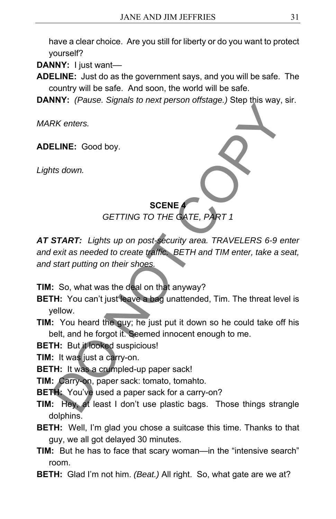have a clear choice. Are you still for liberty or do you want to protect yourself?

**DANNY:** I just want––

**ADELINE:** Just do as the government says, and you will be safe. The country will be safe. And soon, the world will be safe.

**DANNY:** *(Pause. Signals to next person offstage.)* Step this way, sir.

*MARK enters.* 

**ADELINE:** Good boy.

*Lights down.* 

### **SCENE 4**

*GETTING TO THE GATE, PART 1* 

*AT START: Lights up on post-security area. TRAVELERS 6-9 enter and exit as needed to create traffic. BETH and TIM enter, take a seat, and start putting on their shoes.*  SCRIPTING TO THE CATE, PART 1<br>
SCENE<br>
SCENE (GETTING TO THE CATE, PART 1<br>
START: Lights up on post-security area. TRAVELERS 6-9 e<br>
exit as needed to create traffic. BETH and TIM enter, take a s<br>
start putting on their shoe

**TIM:** So, what was the deal on that anyway?

**BETH:** You can't just leave a bag unattended, Tim. The threat level is yellow.

**TIM:** You heard the guy; he just put it down so he could take off his belt, and he forgot it. Seemed innocent enough to me.

**BETH:** But it looked suspicious!

**TIM:** It was just a carry-on.

**BETH:** It was a crumpled-up paper sack!

**TIM:** Carry-on, paper sack: tomato, tomahto.

**BETH:** You've used a paper sack for a carry-on?

**TIM:** Hey, at least I don't use plastic bags. Those things strangle dolphins.

**BETH:** Well, I'm glad you chose a suitcase this time. Thanks to that guy, we all got delayed 30 minutes.

**TIM:** But he has to face that scary woman—in the "intensive search" room.

**BETH:** Glad I'm not him. *(Beat.)* All right. So, what gate are we at?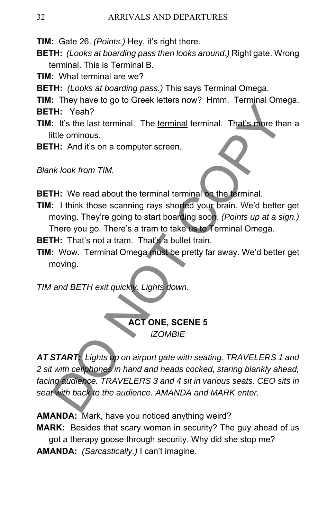**TIM:** Gate 26. *(Points.)* Hey, it's right there.

- **BETH:** *(Looks at boarding pass then looks around.)* Right gate. Wrong terminal. This is Terminal B.
- **TIM:** What terminal are we?
- **BETH:** *(Looks at boarding pass.)* This says Terminal Omega.
- **TIM:** They have to go to Greek letters now? Hmm. Terminal Omega.
- **BETH:** Yeah?
- **TIM:** It's the last terminal. The terminal terminal. That's more than a little ominous.
- **BETH:** And it's on a computer screen.

*Blank look from TIM.* 

- **BETH:** We read about the terminal terminal on the terminal.
- **TIM:** I think those scanning rays shorted your brain. We'd better get moving. They're going to start boarding soon. *(Points up at a sign.)*  There you go. There's a tram to take us to Terminal Omega.
- **BETH:** That's not a tram. That's a bullet train.
- **TIM:** Wow. Terminal Omega must be pretty far away. We'd better get moving.

*TIM and BETH exit quickly. Lights down.* 

**ACT ONE, SCENE 5**  *iZOMBIE* 

*AT START: Lights up on airport gate with seating. TRAVELERS 1 and 2 sit with cellphones in hand and heads cocked, staring blankly ahead, facing audience. TRAVELERS 3 and 4 sit in various seats. CEO sits in seat with back to the audience. AMANDA and MARK enter.*  The Yeah?<br>
The Yeah?<br>
The Yeah?<br>
It's the last terminal. The <u>terminal</u> terminal. That's more that<br>
the ominous.<br>
The Mid it's on a computer screen.<br>
We look from TIM.<br>
They regoing to start boarding soon. (Points up at a

**AMANDA:** Mark, have you noticed anything weird?

**MARK:** Besides that scary woman in security? The guy ahead of us got a therapy goose through security. Why did she stop me? **AMANDA:** *(Sarcastically.)* I can't imagine.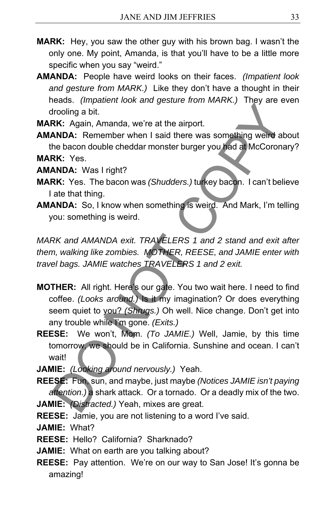- **MARK:** Hey, you saw the other guy with his brown bag. I wasn't the only one. My point, Amanda, is that you'll have to be a little more specific when you say "weird."
- **AMANDA:** People have weird looks on their faces. *(Impatient look and gesture from MARK.)* Like they don't have a thought in their heads. *(Impatient look and gesture from MARK.)* They are even drooling a bit.

**MARK:** Again, Amanda, we're at the airport.

**AMANDA:** Remember when I said there was something weird about the bacon double cheddar monster burger you had at McCoronary? **MARK:** Yes.

**AMANDA:** Was I right?

- **MARK:** Yes. The bacon was *(Shudders.)* turkey bacon. I can't believe I ate that thing.
- **AMANDA:** So, I know when something is weird. And Mark, I'm telling you: something is weird.

*MARK and AMANDA exit. TRAVELERS 1 and 2 stand and exit after them, walking like zombies. MOTHER, REESE, and JAMIE enter with travel bags. JAMIE watches TRAVELERS 1 and 2 exit.* 

- **MOTHER:** All right. Here's our gate. You two wait here. I need to find coffee. *(Looks around.)* Is it my imagination? Or does everything seem quiet to you? *(Shrugs.)* Oh well. Nice change. Don't get into any trouble while I'm gone. *(Exits.)* Color (*mpace)*<br>
Irooling a bit.<br> **RK:** Again, Amanda, we're at the airport.<br> **RK:** Again, Amanda, we're at the airport.<br> **ANDA:** Remember when I said there was something welled at<br> **ANDA:** Yes. The bacon was (*Shudders*,
- **REESE:** We won't, Mom. *(To JAMIE.)* Well, Jamie, by this time tomorrow, we should be in California. Sunshine and ocean. I can't wait!
- **JAMIE:** *(Looking around nervously.)* Yeah.

**REESE:** Fun, sun, and maybe, just maybe *(Notices JAMIE isn't paying attention.)* a shark attack. Or a tornado. Or a deadly mix of the two. **JAMIE:** *(Distracted.)* Yeah, mixes are great.

**REESE:** Jamie, you are not listening to a word I've said.

- **JAMIE:** What?
- **REESE:** Hello? California? Sharknado?
- **JAMIE:** What on earth are you talking about?
- **REESE:** Pay attention. We're on our way to San Jose! It's gonna be amazing!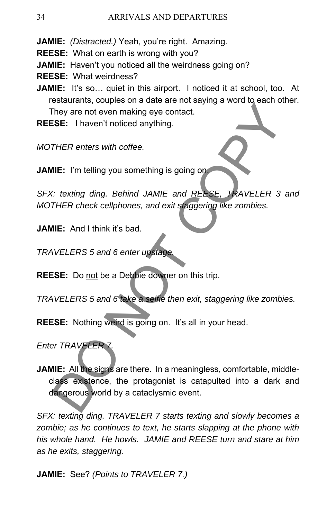**JAMIE:** *(Distracted.)* Yeah, you're right. Amazing.

**REESE:** What on earth is wrong with you?

**JAMIE:** Haven't you noticed all the weirdness going on?

**REESE:** What weirdness?

**JAMIE:** It's so... quiet in this airport. I noticed it at school, too. At restaurants, couples on a date are not saying a word to each other. They are not even making eye contact.

**REESE:** I haven't noticed anything.

*MOTHER enters with coffee.* 

**JAMIE:** I'm telling you something is going on.

*SFX: texting ding. Behind JAMIE and REESE, TRAVELER 3 and MOTHER check cellphones, and exit staggering like zombies.* 

**JAMIE:** And I think it's bad.

*TRAVELERS 5 and 6 enter upstage.*

**REESE:** Do not be a Debbie downer on this trip.

*TRAVELERS 5 and 6 take a selfie then exit, staggering like zombies.* 

**REESE:** Nothing weird is going on. It's all in your head.

*Enter TRAVELER 7.*

**JAMIE:** All the signs are there. In a meaningless, comfortable, middleclass existence, the protagonist is catapulted into a dark and dangerous world by a cataclysmic event. Countainty, occaptor and act and act and act and act and the spin of the year of even making eye contact.<br>
THER enters with coffee.<br>
IIE: I'm telling you something is going on<br>
THER enters with coffee.<br>
IIE: And I think it

*SFX: texting ding. TRAVELER 7 starts texting and slowly becomes a zombie; as he continues to text, he starts slapping at the phone with his whole hand. He howls. JAMIE and REESE turn and stare at him as he exits, staggering.* 

**JAMIE:** See? *(Points to TRAVELER 7.)*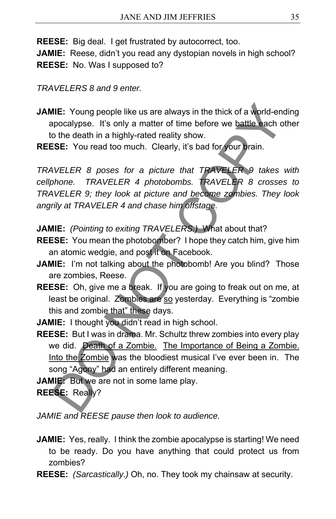**REESE:** Big deal. I get frustrated by autocorrect, too. **JAMIE:** Reese, didn't you read any dystopian novels in high school? **REESE:** No. Was I supposed to?

*TRAVELERS 8 and 9 enter.* 

**JAMIE:** Young people like us are always in the thick of a world-ending apocalypse. It's only a matter of time before we battle each other to the death in a highly-rated reality show.

**REESE:** You read too much. Clearly, it's bad for your brain.

*TRAVELER 8 poses for a picture that TRAVELER 9 takes with cellphone. TRAVELER 4 photobombs. TRAVELER 8 crosses to TRAVELER 9; they look at picture and become zombies. They look angrily at TRAVELER 4 and chase him offstage.*  **AIE:** Young people like us are always in the thick of a world-en-<br>pocalypse. It's only a matter of time before we battle each o<br>che death in a highly-rated reality show.<br>
SSE: You read too much. Clearly, it's bad for your

**JAMIE:** *(Pointing to exiting TRAVELERS.)* What about that?

- **REESE:** You mean the photobomber? I hope they catch him, give him an atomic wedgie, and post it on Facebook.
- **JAMIE:** I'm not talking about the photobomb! Are you blind? Those are zombies, Reese.
- **REESE:** Oh, give me a break. If you are going to freak out on me, at least be original. Zombies are so yesterday. Everything is "zombie this and zombie that" these days.
- **JAMIE:** I thought you didn't read in high school.
- **REESE:** But I was in drama. Mr. Schultz threw zombies into every play we did. Death of a Zombie. The Importance of Being a Zombie. Into the Zombie was the bloodiest musical I've ever been in. The song "Agony" had an entirely different meaning.

**JAMIE:** But we are not in some lame play.

**REESE:** Really?

*JAMIE and REESE pause then look to audience.* 

- **JAMIE:** Yes, really. I think the zombie apocalypse is starting! We need to be ready. Do you have anything that could protect us from zombies?
- **REESE:** *(Sarcastically.)* Oh, no. They took my chainsaw at security.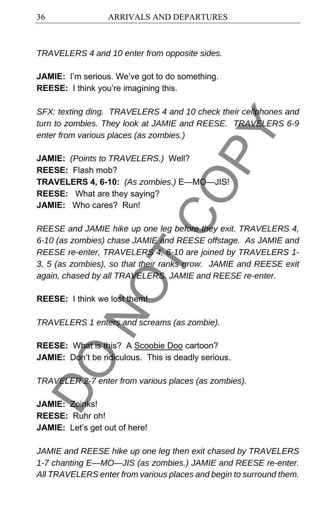*TRAVELERS 4 and 10 enter from opposite sides.* 

**JAMIE:** I'm serious. We've got to do something. **REESE:** I think you're imagining this.

*SFX: texting ding. TRAVELERS 4 and 10 check their cellphones and turn to zombies. They look at JAMIE and REESE. TRAVELERS 6-9 enter from various places (as zombies.)* 

**JAMIE:** *(Points to TRAVELERS.)* Well? **REESE:** Flash mob? **TRAVELERS 4, 6-10:** *(As zombies.)* E—MO—JIS! **REESE:** What are they saying? **JAMIE:** Who cares? Run!

*REESE and JAMIE hike up one leg before they exit. TRAVELERS 4, 6-10 (as zombies) chase JAMIE and REESE offstage. As JAMIE and REESE re-enter, TRAVELERS 4, 6-10 are joined by TRAVELERS 1- 3, 5 (as zombies), so that their ranks grow. JAMIE and REESE exit again, chased by all TRAVELERS. JAMIE and REESE re-enter.*  C: texting ding. TRAVELERS 4 and 10 check their cellphones<br>to zombies. They look at JAMIE and REESE. TRAVELERS<br>or from various places (as zombies.)<br>IIE: (Points to TRAVELERS.) Well?<br>IIE: (Points to TRAVELERS.) Well?<br>ISE: T

**REESE:** I think we lost them!

*TRAVELERS 1 enters and screams (as zombie).* 

**REESE:** What is this? A Scoobie Doo cartoon? **JAMIE:** Don't be ridiculous. This is deadly serious.

*TRAVELER 2-7 enter from various places (as zombies).* 

**JAMIE:** Zoinks! **REESE:** Ruhr oh! **JAMIE:** Let's get out of here!

*JAMIE and REESE hike up one leg then exit chased by TRAVELERS 1-7 chanting E—MO—JIS (as zombies.) JAMIE and REESE re-enter. All TRAVELERS enter from various places and begin to surround them.*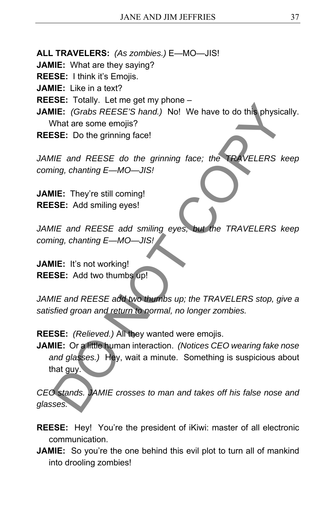**ALL TRAVELERS:** *(As zombies.)* E—MO—JIS!

**JAMIE:** What are they saying?

**REESE:** I think it's Emojis.

**JAMIE:** Like in a text?

**REESE:** Totally. Let me get my phone –

**JAMIE:** *(Grabs REESE'S hand.)* No! We have to do this physically. What are some emojis?

**REESE:** Do the grinning face!

JAMIE and REESE do the grinning face; the TRAVELERS keep *coming, chanting E—MO—JIS!* 

**JAMIE:** They're still coming! **REESE:** Add smiling eyes!

*JAMIE and REESE add smiling eyes, but the TRAVELERS keep coming, chanting E—MO—JIS!* 

**JAMIE:** It's not working! **REESE:** Add two thumbs up!

*JAMIE and REESE add two thumbs up; the TRAVELERS stop, give a satisfied groan and return to normal, no longer zombies.* 

**REESE:** *(Relieved.)* All they wanted were emojis.

**JAMIE:** Or a little human interaction. *(Notices CEO wearing fake nose and glasses.)* Hey, wait a minute. Something is suspicious about that guy. THE: (Grabs REESE'S hand.) No! We have to do this physic<br>
What are some emojis?<br>
SE: Do the grinning face!<br>
INE: (Grabs REESE'S hand.) No! We have to do this physic<br>
What are some emojis?<br>
ISE: Do the grinning face!<br>
IIE:

*CEO stands. JAMIE crosses to man and takes off his false nose and glasses.* 

- **REESE:** Hey! You're the president of iKiwi: master of all electronic communication.
- **JAMIE:** So you're the one behind this evil plot to turn all of mankind into drooling zombies!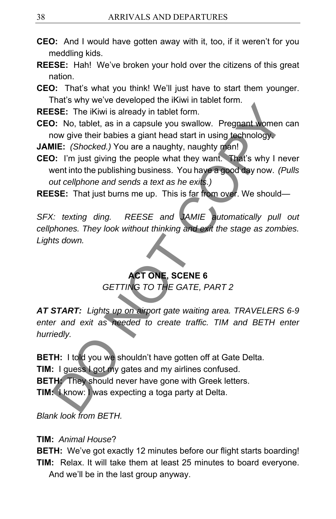- **CEO:** And I would have gotten away with it, too, if it weren't for you meddling kids.
- **REESE:** Hah! We've broken your hold over the citizens of this great nation.
- **CEO:** That's what you think! We'll just have to start them younger. That's why we've developed the iKiwi in tablet form.
- **REESE:** The iKiwi is already in tablet form.
- **CEO:** No, tablet, as in a capsule you swallow. Pregnant women can now give their babies a giant head start in using technology.
- **JAMIE:** *(Shocked.)* You are a naughty, naughty man!
- **CEO:** I'm just giving the people what they want. That's why I never went into the publishing business. You have a good day now. *(Pulls out cellphone and sends a text as he exits.)*
- **REESE:** That just burns me up. This is far from over. We should—

*SFX: texting ding. REESE and JAMIE automatically pull out cellphones. They look without thinking and exit the stage as zombies. Lights down.* 

# **ACT ONE, SCENE 6**

*GETTING TO THE GATE, PART 2* 

*AT START: Lights up on airport gate waiting area. TRAVELERS 6-9 enter and exit as needed to create traffic. TIM and BETH enter hurriedly.* 

**BETH:** I told you we shouldn't have gotten off at Gate Delta. **TIM:** I guess I got my gates and my airlines confused. **BETH:** They should never have gone with Greek letters. **TIM:** I know: I was expecting a toga party at Delta. Material and the second work in the state of the SEE: The iKiwi is already in tablet form.<br>
SEE: The iKiwi is already in tablet form.<br>
D: No, tablet, as in a capsule you swallow. Pregnant women<br>
now give their babies a gia

*Blank look from BETH.* 

### **TIM:** *Animal House*?

**BETH:** We've got exactly 12 minutes before our flight starts boarding! **TIM:** Relax. It will take them at least 25 minutes to board everyone. And we'll be in the last group anyway.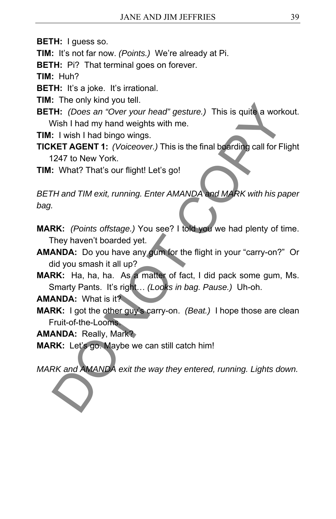**BETH:** I guess so.

**TIM:** It's not far now. *(Points.)* We're already at Pi.

**BETH:** Pi? That terminal goes on forever.

**TIM:** Huh?

**BETH:** It's a joke. It's irrational.

**TIM:** The only kind you tell.

**BETH:** *(Does an "Over your head" gesture.)* This is quite a workout. Wish I had my hand weights with me.

**TIM:** I wish I had bingo wings.

**TICKET AGENT 1:** *(Voiceover.)* This is the final boarding call for Flight 1247 to New York. The Consumer year and The Wall and Warker (Best an "Over your head" gesture.) This is quite a work<br>
Wish I had my hand weights with me.<br>
1. I wish I had bingo wings.<br>
1. I wish I had bingo wings.<br>
1. What? That's our fligh

**TIM:** What? That's our flight! Let's go!

*BETH and TIM exit, running. Enter AMANDA and MARK with his paper bag.* 

- **MARK:** *(Points offstage.)* You see? I told you we had plenty of time. They haven't boarded yet.
- **AMANDA:** Do you have any gum for the flight in your "carry-on?" Or did you smash it all up?
- **MARK:** Ha, ha, ha. As a matter of fact, I did pack some gum, Ms. Smarty Pants. It's right… *(Looks in bag. Pause.)* Uh-oh.

**AMANDA:** What is it?

**MARK:** I got the other guy's carry-on. *(Beat.)* I hope those are clean Fruit-of-the-Looms.

**AMANDA:** Really, Mark?

**MARK:** Let's go. Maybe we can still catch him!

*MARK and AMANDA exit the way they entered, running. Lights down.*